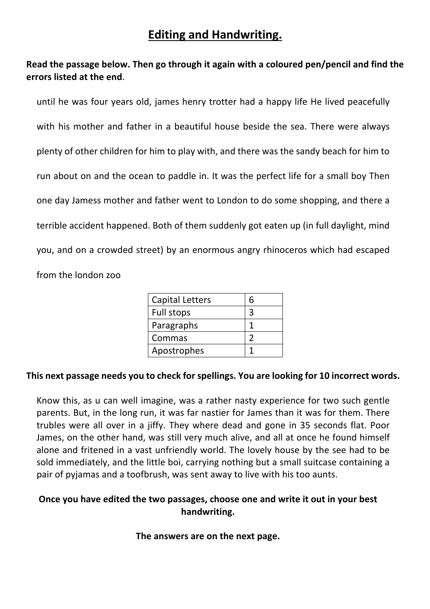# **Editing and Handwriting.**

## **Read the passage below. Then go through it again with a coloured pen/pencil and find the errors listed at the end**.

until he was four years old, james henry trotter had a happy life He lived peacefully with his mother and father in a beautiful house beside the sea. There were always plenty of other children for him to play with, and there was the sandy beach for him to run about on and the ocean to paddle in. It was the perfect life for a small boy Then one day Jamess mother and father went to London to do some shopping, and there a terrible accident happened. Both of them suddenly got eaten up (in full daylight, mind you, and on a crowded street) by an enormous angry rhinoceros which had escaped from the london zoo

| <b>Capital Letters</b> | հ |
|------------------------|---|
| Full stops             |   |
| Paragraphs             |   |
| Commas                 |   |
| Apostrophes            |   |

### **This next passage needs you to check for spellings. You are looking for 10 incorrect words.**

Know this, as u can well imagine, was a rather nasty experience for two such gentle parents. But, in the long run, it was far nastier for James than it was for them. There trubles were all over in a jiffy. They where dead and gone in 35 seconds flat. Poor James, on the other hand, was still very much alive, and all at once he found himself alone and fritened in a vast unfriendly world. The lovely house by the see had to be sold immediately, and the little boi, carrying nothing but a small suitcase containing a pair of pyjamas and a toofbrush, was sent away to live with his too aunts.

## **Once you have edited the two passages, choose one and write it out in your best handwriting.**

#### **The answers are on the next page.**